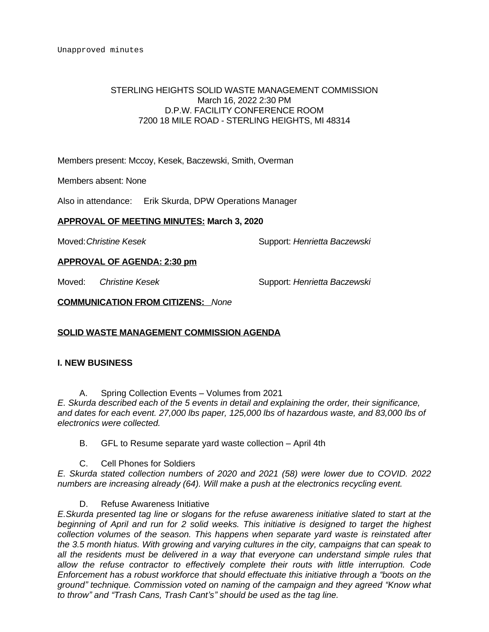## STERLING HEIGHTS SOLID WASTE MANAGEMENT COMMISSION March 16, 2022 2:30 PM D.P.W. FACILITY CONFERENCE ROOM 7200 18 MILE ROAD - STERLING HEIGHTS, MI 48314

Members present: Mccoy, Kesek, Baczewski, Smith, Overman

Members absent: None

Also in attendance: Erik Skurda, DPW Operations Manager

## **APPROVAL OF MEETING MINUTES: March 3, 2020**

Moved:*Christine Kesek* Support: *Henrietta Baczewski*

**APPROVAL OF AGENDA: 2:30 pm**

Moved: *Christine Kesek* Support: *Henrietta Baczewski*

**COMMUNICATION FROM CITIZENS:** *None*

# **SOLID WASTE MANAGEMENT COMMISSION AGENDA**

### **I. NEW BUSINESS**

A. Spring Collection Events – Volumes from 2021

*E. Skurda described each of the 5 events in detail and explaining the order, their significance, and dates for each event. 27,000 lbs paper, 125,000 lbs of hazardous waste, and 83,000 lbs of electronics were collected.*

B. GFL to Resume separate yard waste collection – April 4th

### C. Cell Phones for Soldiers

*E. Skurda stated collection numbers of 2020 and 2021 (58) were lower due to COVID. 2022 numbers are increasing already (64). Will make a push at the electronics recycling event.*

# D. Refuse Awareness Initiative

*E.Skurda presented tag line or slogans for the refuse awareness initiative slated to start at the beginning of April and run for 2 solid weeks. This initiative is designed to target the highest collection volumes of the season. This happens when separate yard waste is reinstated after the 3.5 month hiatus. With growing and varying cultures in the city, campaigns that can speak to all the residents must be delivered in a way that everyone can understand simple rules that allow the refuse contractor to effectively complete their routs with little interruption. Code Enforcement has a robust workforce that should effectuate this initiative through a "boots on the ground" technique. Commission voted on naming of the campaign and they agreed "Know what to throw" and "Trash Cans, Trash Cant's" should be used as the tag line.*